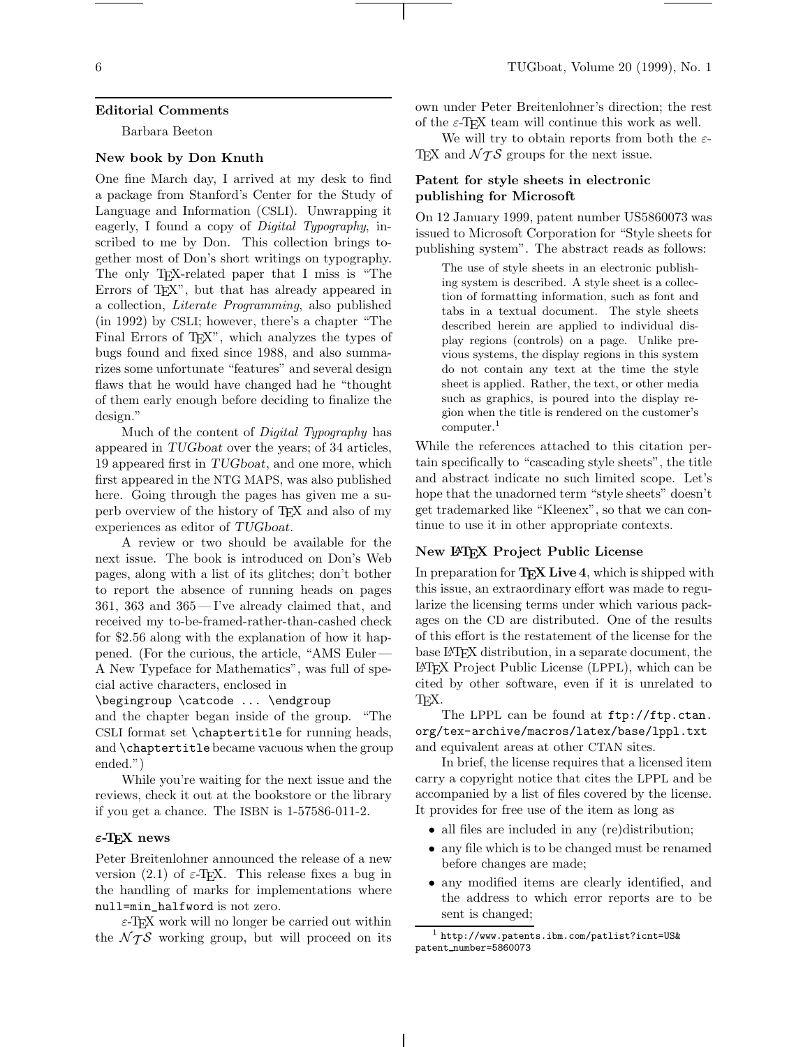#### **Editorial Comments**

Barbara Beeton

## **New book by Don Knuth**

One fine March day, I arrived at my desk to find a package from Stanford's Center for the Study of Language and Information (CSLI). Unwrapping it eagerly, I found a copy of *Digital Typography*, inscribed to me by Don. This collection brings together most of Don's short writings on typography. The only TEX-related paper that I miss is "The Errors of TEX", but that has already appeared in a collection, *Literate Programming*, also published (in 1992) by CSLI; however, there's a chapter "The Final Errors of T<sub>F</sub>X", which analyzes the types of bugs found and fixed since 1988, and also summarizes some unfortunate "features" and several design flaws that he would have changed had he "thought of them early enough before deciding to finalize the design."

Much of the content of *Digital Typography* has appeared in TUGboat over the years; of 34 articles, 19 appeared first in TUGboat, and one more, which first appeared in the NTG MAPS, was also published here. Going through the pages has given me a superb overview of the history of TEX and also of my experiences as editor of TUGboat.

A review or two should be available for the next issue. The book is introduced on Don's Web pages, along with a list of its glitches; don't bother to report the absence of running heads on pages 361, 363 and 365— I've already claimed that, and received my to-be-framed-rather-than-cashed check for \$2.56 along with the explanation of how it happened. (For the curious, the article, "AMS Euler— A New Typeface for Mathematics", was full of special active characters, enclosed in

\begingroup \catcode ... \endgroup

and the chapter began inside of the group. "The CSLI format set \chaptertitle for running heads, and \chaptertitle became vacuous when the group ended.")

While you're waiting for the next issue and the reviews, check it out at the bookstore or the library if you get a chance. The ISBN is 1-57586-011-2.

## *ε***-TEX news**

Peter Breitenlohner announced the release of a new version (2.1) of  $\varepsilon$ -T<sub>E</sub>X. This release fixes a bug in the handling of marks for implementations where null=min\_halfword is not zero.

 $\varepsilon$ -T<sub>E</sub>X work will no longer be carried out within the  $\mathcal{N}$  TS working group, but will proceed on its

own under Peter Breitenlohner's direction; the rest of the  $\varepsilon$ -T<sub>F</sub>X team will continue this work as well.

We will try to obtain reports from both the  $\varepsilon$ -TEX and  $\mathcal{N} \mathcal{T} \mathcal{S}$  groups for the next issue.

# **Patent for style sheets in electronic publishing for Microsoft**

On 12 January 1999, patent number US5860073 was issued to Microsoft Corporation for "Style sheets for publishing system". The abstract reads as follows:

The use of style sheets in an electronic publishing system is described. A style sheet is a collection of formatting information, such as font and tabs in a textual document. The style sheets described herein are applied to individual display regions (controls) on a page. Unlike previous systems, the display regions in this system do not contain any text at the time the style sheet is applied. Rather, the text, or other media such as graphics, is poured into the display region when the title is rendered on the customer's computer.<sup>1</sup>

While the references attached to this citation pertain specifically to "cascading style sheets", the title and abstract indicate no such limited scope. Let's hope that the unadorned term "style sheets" doesn't get trademarked like "Kleenex", so that we can continue to use it in other appropriate contexts.

## **New LATEX Project Public License**

In preparation for **TEX Live 4**, which is shipped with this issue, an extraordinary effort was made to regularize the licensing terms under which various packages on the CD are distributed. One of the results of this effort is the restatement of the license for the base LATEX distribution, in a separate document, the LATEX Project Public License (LPPL), which can be cited by other software, even if it is unrelated to TEX.

The LPPL can be found at ftp://ftp.ctan. org/tex-archive/macros/latex/base/lppl.txt and equivalent areas at other CTAN sites.

In brief, the license requires that a licensed item carry a copyright notice that cites the LPPL and be accompanied by a list of files covered by the license. It provides for free use of the item as long as

- all files are included in any (re)distribution;
- any file which is to be changed must be renamed before changes are made;
- any modified items are clearly identified, and the address to which error reports are to be sent is changed;

 $1$  http://www.patents.ibm.com/patlist?icnt=US& patent number=5860073